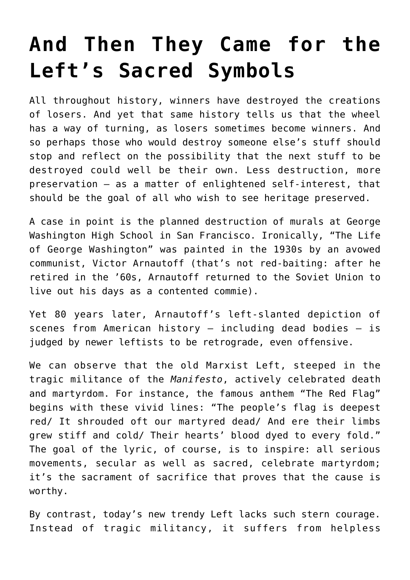## **[And Then They Came for the](https://intellectualtakeout.org/2019/08/and-then-they-came-for-the-lefts-sacred-symbols/) [Left's Sacred Symbols](https://intellectualtakeout.org/2019/08/and-then-they-came-for-the-lefts-sacred-symbols/)**

All throughout history, winners have destroyed the creations of losers. And yet that same history tells us that the wheel has a way of turning, as losers sometimes become winners. And so perhaps those who would destroy someone else's stuff should stop and reflect on the possibility that the next stuff to be destroyed could well be their own. Less destruction, more preservation – as a matter of enlightened self-interest, that should be the goal of all who wish to see heritage preserved.

A case in point is the planned destruction of murals at George Washington High School in San Francisco. Ironically, "The Life of George Washington" was painted in the 1930s by an avowed communist, Victor Arnautoff (that's not red-baiting: after he retired in the '60s, Arnautoff returned to the Soviet Union to live out his days as a contented commie).

Yet 80 years later, Arnautoff's left-slanted depiction of scenes from American history – including dead bodies – is judged by newer leftists to be retrograde, even offensive.

We can observe that the old Marxist Left, steeped in the tragic militance of the *Manifesto*, actively celebrated death and martyrdom. For instance, the famous anthem "The Red Flag" begins with these vivid lines: "The people's flag is deepest red/ It shrouded oft our martyred dead/ And ere their limbs grew stiff and cold/ Their hearts' blood dyed to every fold." The goal of the lyric, of course, is to inspire: all serious movements, secular as well as sacred, celebrate martyrdom; it's the sacrament of sacrifice that proves that the cause is worthy.

By contrast, today's new trendy Left lacks such stern courage. Instead of tragic militancy, it suffers from helpless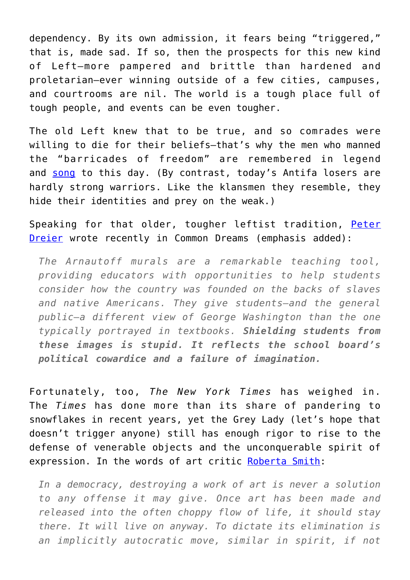dependency. By its own admission, it fears being "triggered," that is, made sad. If so, then the prospects for this new kind of Left—more pampered and brittle than hardened and proletarian—ever winning outside of a few cities, campuses, and courtrooms are nil. The world is a tough place full of tough people, and events can be even tougher.

The old Left knew that to be true, and so comrades were willing to die for their beliefs—that's why the men who manned the "barricades of freedom" are remembered in legend and [song](https://www.azlyrics.com/lyrics/lesmiserablescast/onedaymore.html) to this day. (By contrast, today's Antifa losers are hardly strong warriors. Like the klansmen they resemble, they hide their identities and prey on the weak.)

Speaking for that older, tougher leftist tradition, [Peter](https://www.commondreams.org/views/2019/07/03/move-destroy-or-cover-mural-san-franciscos-progressive-school-board-embarrassing) [Dreier](https://www.commondreams.org/views/2019/07/03/move-destroy-or-cover-mural-san-franciscos-progressive-school-board-embarrassing) wrote recently in Common Dreams (emphasis added):

*The Arnautoff murals are a remarkable teaching tool, providing educators with opportunities to help students consider how the country was founded on the backs of slaves and native Americans. They give students—and the general public—a different view of George Washington than the one typically portrayed in textbooks. Shielding students from these images is stupid. It reflects the school board's political cowardice and a failure of imagination.*

Fortunately, too, *The New York Times* has weighed in. The *Times* has done more than its share of pandering to snowflakes in recent years, yet the Grey Lady (let's hope that doesn't trigger anyone) still has enough rigor to rise to the defense of venerable objects and the unconquerable spirit of expression. In the words of art critic [Roberta Smith](https://www.nytimes.com/2019/07/26/arts/design/george-washington-san-francisco-murals.html):

*In a democracy, destroying a work of art is never a solution to any offense it may give. Once art has been made and released into the often choppy flow of life, it should stay there. It will live on anyway. To dictate its elimination is an implicitly autocratic move, similar in spirit, if not*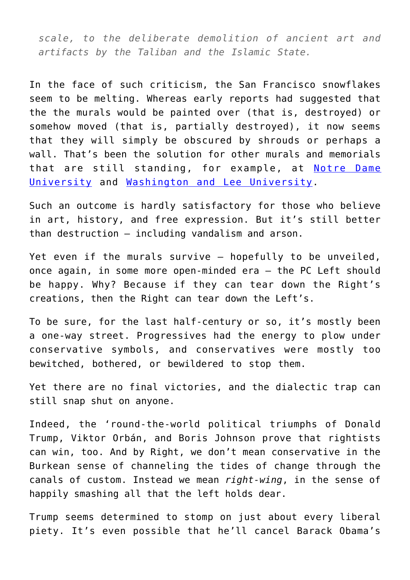*scale, to the deliberate demolition of ancient art and artifacts by the Taliban and the Islamic State.*

In the face of such criticism, the San Francisco snowflakes seem to be melting. Whereas early reports had suggested that the the murals would be painted over (that is, destroyed) or somehow moved (that is, partially destroyed), it now seems that they will simply be obscured by shrouds or perhaps a wall. That's been the solution for other murals and memorials that are still standing, for example, at [Notre Dame](https://www.cnn.com/style/article/university-of-notre-dame-christopher-columbus-murals-trnd-style/index.html) [University](https://www.cnn.com/style/article/university-of-notre-dame-christopher-columbus-murals-trnd-style/index.html) and [Washington and Lee University](https://www.wsls.com/news/virginia/lexington/washington-lee-university-to-rename-two-buildings-changes-to-come-to-lee-chapel).

Such an outcome is hardly satisfactory for those who believe in art, history, and free expression. But it's still better than destruction – including vandalism and arson.

Yet even if the murals survive – hopefully to be unveiled, once again, in some more open-minded era – the PC Left should be happy. Why? Because if they can tear down the Right's creations, then the Right can tear down the Left's.

To be sure, for the last half-century or so, it's mostly been a one-way street. Progressives had the energy to plow under conservative symbols, and conservatives were mostly too bewitched, bothered, or bewildered to stop them.

Yet there are no final victories, and the dialectic trap can still snap shut on anyone.

Indeed, the 'round-the-world political triumphs of Donald Trump, Viktor Orbán, and Boris Johnson prove that rightists can win, too. And by Right, we don't mean conservative in the Burkean sense of channeling the tides of change through the canals of custom. Instead we mean *right-wing*, in the sense of happily smashing all that the left holds dear.

Trump seems determined to stomp on just about every liberal piety. It's even possible that he'll cancel Barack Obama's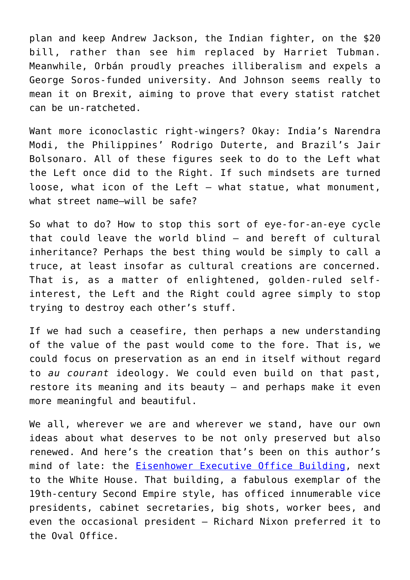plan and keep Andrew Jackson, the Indian fighter, on the \$20 bill, rather than see him replaced by Harriet Tubman. Meanwhile, Orbán proudly preaches illiberalism and expels a George Soros-funded university. And Johnson seems really to mean it on Brexit, aiming to prove that every statist ratchet can be un-ratcheted.

Want more iconoclastic right-wingers? Okay: India's Narendra Modi, the Philippines' Rodrigo Duterte, and Brazil's Jair Bolsonaro. All of these figures seek to do to the Left what the Left once did to the Right. If such mindsets are turned loose, what icon of the Left – what statue, what monument, what street name—will be safe?

So what to do? How to stop this sort of eye-for-an-eye cycle that could leave the world blind – and bereft of cultural inheritance? Perhaps the best thing would be simply to call a truce, at least insofar as cultural creations are concerned. That is, as a matter of enlightened, golden-ruled selfinterest, the Left and the Right could agree simply to stop trying to destroy each other's stuff.

If we had such a ceasefire, then perhaps a new understanding of the value of the past would come to the fore. That is, we could focus on preservation as an end in itself without regard to *au courant* ideology. We could even build on that past, restore its meaning and its beauty – and perhaps make it even more meaningful and beautiful.

We all, wherever we are and wherever we stand, have our own ideas about what deserves to be not only preserved but also renewed. And here's the creation that's been on this author's mind of late: the [Eisenhower Executive Office Building,](https://www.gsa.gov/historic-buildings/dwight-d-eisenhower-executive-office-building-washington-dc) next to the White House. That building, a fabulous exemplar of the 19th-century Second Empire style, has officed innumerable vice presidents, cabinet secretaries, big shots, worker bees, and even the occasional president – Richard Nixon preferred it to the Oval Office.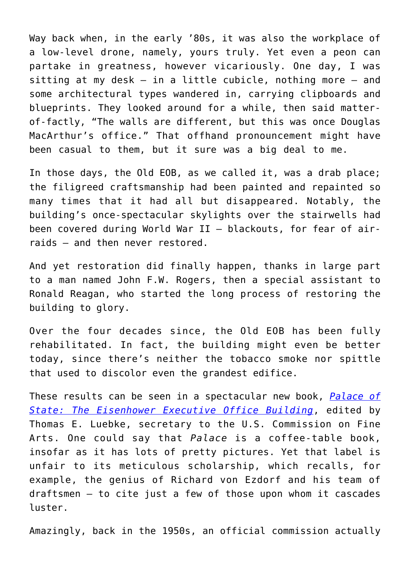Way back when, in the early '80s, it was also the workplace of a low-level drone, namely, yours truly. Yet even a peon can partake in greatness, however vicariously. One day, I was sitting at my desk – in a little cubicle, nothing more – and some architectural types wandered in, carrying clipboards and blueprints. They looked around for a while, then said matterof-factly, "The walls are different, but this was once Douglas MacArthur's office." That offhand pronouncement might have been casual to them, but it sure was a big deal to me.

In those days, the Old EOB, as we called it, was a drab place; the filigreed craftsmanship had been painted and repainted so many times that it had all but disappeared. Notably, the building's once-spectacular skylights over the stairwells had been covered during World War II – blackouts, for fear of airraids – and then never restored.

And yet restoration did finally happen, thanks in large part to a man named John F.W. Rogers, then a special assistant to Ronald Reagan, who started the long process of restoring the building to glory.

Over the four decades since, the Old EOB has been fully rehabilitated. In fact, the building might even be better today, since there's neither the tobacco smoke nor spittle that used to discolor even the grandest edifice.

These results can be seen in a spectacular new book, *[Palace of](https://www.amazon.com/s?k=palace+of+state+the+eisenhower+executive+office+building&crid=3U5NDUBJB32LC&sprefix=palace+of+state,aps,134&ref=nb_sb_ss_i_1_15) [State: The Eisenhower Executive Office Building](https://www.amazon.com/s?k=palace+of+state+the+eisenhower+executive+office+building&crid=3U5NDUBJB32LC&sprefix=palace+of+state,aps,134&ref=nb_sb_ss_i_1_15)*, edited by Thomas E. Luebke, secretary to the U.S. Commission on Fine Arts. One could say that *Palace* is a coffee-table book, insofar as it has lots of pretty pictures. Yet that label is unfair to its meticulous scholarship, which recalls, for example, the genius of Richard von Ezdorf and his team of draftsmen – to cite just a few of those upon whom it cascades luster.

Amazingly, back in the 1950s, an official commission actually